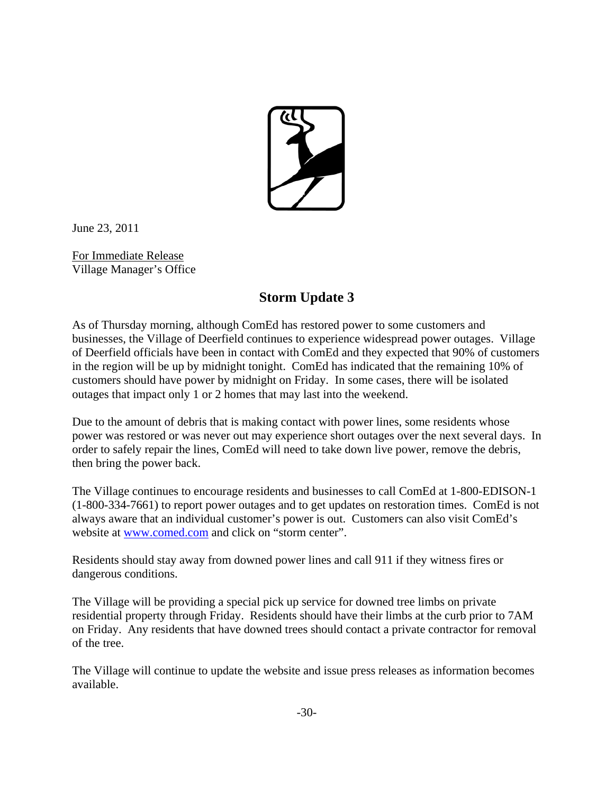

June 23, 2011

For Immediate Release Village Manager's Office

## **Storm Update 3**

As of Thursday morning, although ComEd has restored power to some customers and businesses, the Village of Deerfield continues to experience widespread power outages. Village of Deerfield officials have been in contact with ComEd and they expected that 90% of customers in the region will be up by midnight tonight. ComEd has indicated that the remaining 10% of customers should have power by midnight on Friday. In some cases, there will be isolated outages that impact only 1 or 2 homes that may last into the weekend.

Due to the amount of debris that is making contact with power lines, some residents whose power was restored or was never out may experience short outages over the next several days. In order to safely repair the lines, ComEd will need to take down live power, remove the debris, then bring the power back.

The Village continues to encourage residents and businesses to call ComEd at 1-800-EDISON-1 (1-800-334-7661) to report power outages and to get updates on restoration times. ComEd is not always aware that an individual customer's power is out. Customers can also visit ComEd's website at www.comed.com and click on "storm center".

Residents should stay away from downed power lines and call 911 if they witness fires or dangerous conditions.

The Village will be providing a special pick up service for downed tree limbs on private residential property through Friday. Residents should have their limbs at the curb prior to 7AM on Friday. Any residents that have downed trees should contact a private contractor for removal of the tree.

The Village will continue to update the website and issue press releases as information becomes available.